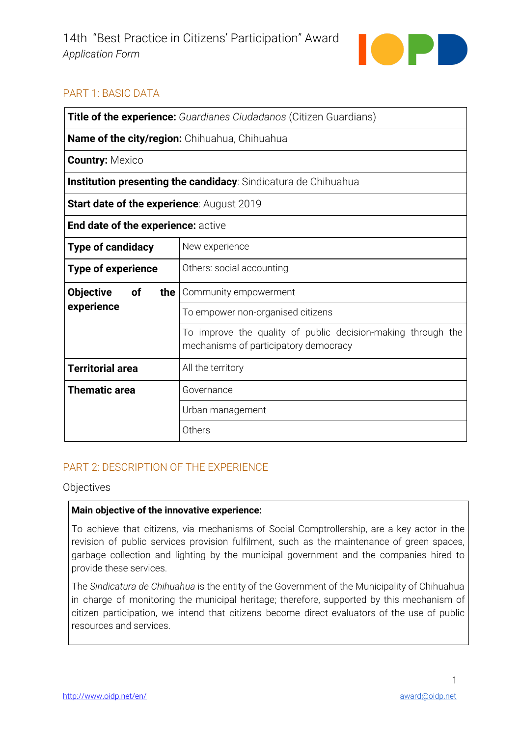

# **PART 1: BASIC DATA**

| <b>Title of the experience:</b> Guardianes Ciudadanos (Citizen Guardians) |                                                                                                       |
|---------------------------------------------------------------------------|-------------------------------------------------------------------------------------------------------|
| Name of the city/region: Chihuahua, Chihuahua                             |                                                                                                       |
| <b>Country: Mexico</b>                                                    |                                                                                                       |
| Institution presenting the candidacy: Sindicatura de Chihuahua            |                                                                                                       |
| <b>Start date of the experience: August 2019</b>                          |                                                                                                       |
| End date of the experience: active                                        |                                                                                                       |
| <b>Type of candidacy</b>                                                  | New experience                                                                                        |
| <b>Type of experience</b>                                                 | Others: social accounting                                                                             |
| <b>Objective</b><br>οf<br>the I                                           | Community empowerment                                                                                 |
| experience                                                                | To empower non-organised citizens                                                                     |
|                                                                           | To improve the quality of public decision-making through the<br>mechanisms of participatory democracy |
| <b>Territorial area</b>                                                   | All the territory                                                                                     |
| <b>Thematic area</b>                                                      | Governance                                                                                            |
|                                                                           | Urban management                                                                                      |
|                                                                           | Others                                                                                                |

## PART 2: DESCRIPTION OF THE EXPERIENCE

Objectives

## Main objective of the innovative experience:

To achieve that citizens, via mechanisms of Social Comptrollership, are a key actor in the revision of public services provision fulfilment, such as the maintenance of green spaces, garbage collection and lighting by the municipal government and the companies hired to provide these services.

The Sindicatura de Chihuahua is the entity of the Government of the Municipality of Chihuahua in charge of monitoring the municipal heritage; therefore, supported by this mechanism of citizen participation, we intend that citizens become direct evaluators of the use of public resources and services.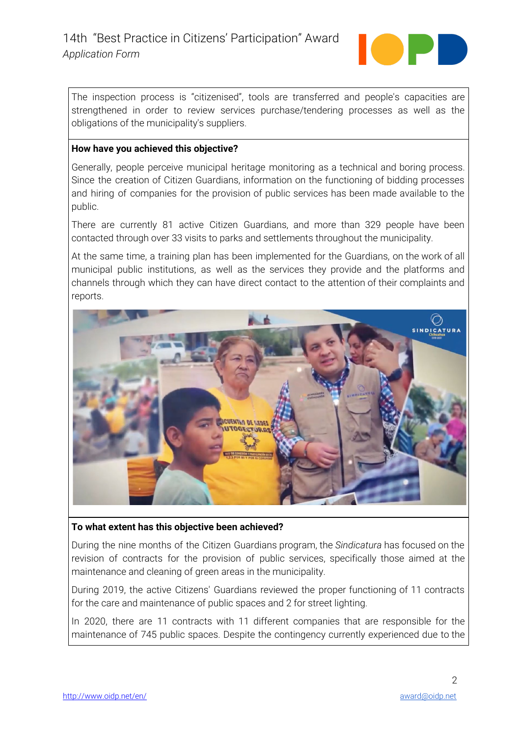

The inspection process is "citizenised", tools are transferred and people's capacities are strengthened in order to review services purchase/tendering processes as well as the obligations of the municipality's suppliers.

## **How have you achieved this objective?**

Generally, people perceive municipal heritage monitoring as a technical and boring process. Since the creation of Citizen Guardians, information on the functioning of bidding processes and hiring of companies for the provision of public services has been made available to the public.

There are currently 81 active Citizen Guardians, and more than 329 people have been contacted through over 33 visits to parks and settlements throughout the municipality.

At the same time, a training plan has been implemented for the Guardians, on the work of all municipal public institutions, as well as the services they provide and the platforms and channels through which they can have direct contact to the attention of their complaints and reports.



#### **To** what extent has this objective been achieved?

During the nine months of the Citizen Guardians program, the *Sindicatura* has focused on the revision of contracts for the provision of public services, specifically those aimed at the maintenance and cleaning of green areas in the municipality.

During 2019, the active Citizens' Guardians reviewed the proper functioning of 11 contracts for the care and maintenance of public spaces and 2 for street lighting.

In 2020, there are 11 contracts with 11 different companies that are responsible for the maintenance of 745 public spaces. Despite the contingency currently experienced due to the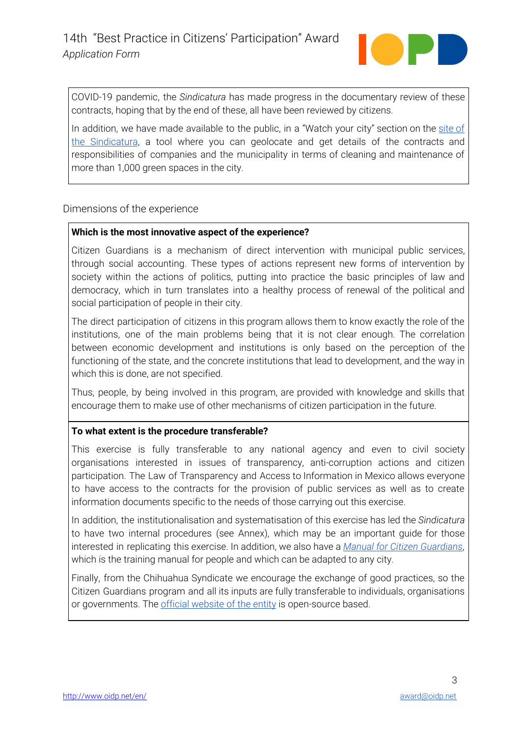

COVID-19 pandemic, the *Sindicatura* has made progress in the documentary review of these contracts, hoping that by the end of these, all have been reviewed by citizens.

In addition, we have made available to the public, in a "Watch your city" section on the [site](http://www.sindicatura.mx/) of the [Sindicatura,](http://www.sindicatura.mx/) a tool where you can geolocate and get details of the contracts and responsibilities of companies and the municipality in terms of cleaning and maintenance of more than 1,000 green spaces in the city.

Dimensions of the experience

## **Which** is the most innovative aspect of the experience?

Citizen Guardians is a mechanism of direct intervention with municipal public services, through social accounting. These types of actions represent new forms of intervention by society within the actions of politics, putting into practice the basic principles of law and democracy, which in turn translates into a healthy process of renewal of the political and social participation of people in their city.

The direct participation of citizens in this program allows them to know exactly the role of the institutions, one of the main problems being that it is not clear enough. The correlation between economic development and institutions is only based on the perception of the functioning of the state, and the concrete institutions that lead to development, and the way in which this is done, are not specified.

Thus, people, by being involved in this program, are provided with knowledge and skills that encourage them to make use of other mechanisms of citizen participation in the future.

## **To** what extent is the procedure transferable?

This exercise is fully transferable to any national agency and even to civil society organisations interested in issues of transparency, anti-corruption actions and citizen participation. The Law of Transparency and Access to Information in Mexico allows everyone to have access to the contracts for the provision of public services as well as to create information documents specific to the needs of those carrying out this exercise.

In addition, the institutionalisation and systematisation of this exercise has led the *Sindicatura* to have two internal procedures (see Annex), which may be an important guide for those interested in replicating this exercise. In addition, we also have a *Manual for Citizen Guardians*, which is the training manual for people and which can be adapted to any city.

Finally, from the Chihuahua Syndicate we encourage the exchange of good practices, so the Citizen Guardians program and all its inputs are fully transferable to individuals, organisations or governments. The *official website of the entity* is open-source based.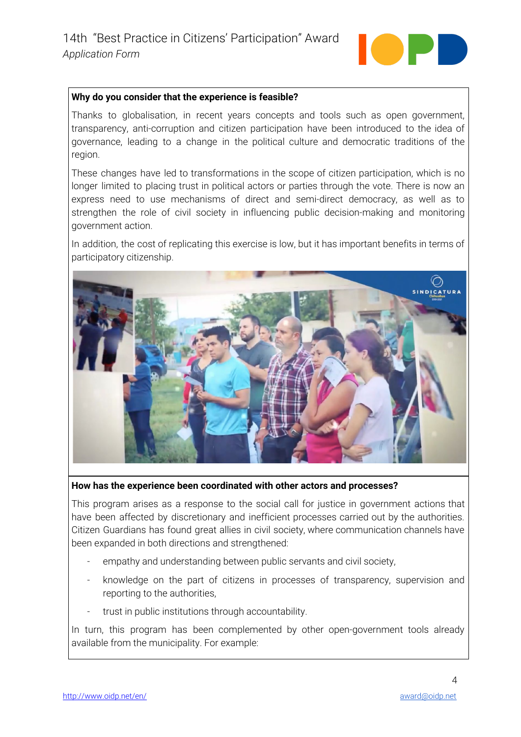

#### **Why do you consider that the experience is feasible?**

Thanks to globalisation, in recent years concepts and tools such as open government, transparency, anti-corruption and citizen participation have been introduced to the idea of governance, leading to a change in the political culture and democratic traditions of the region.

These changes have led to transformations in the scope of citizen participation, which is no longer limited to placing trust in political actors or parties through the vote. There is now an express need to use mechanisms of direct and semi-direct democracy, as well as to strengthen the role of civil society in influencing public decision-making and monitoring government action.

In addition, the cost of replicating this exercise is low, but it has important benefits in terms of participatory citizenship.



**How has the experience been coordinated with other actors and processes?** 

This program arises as a response to the social call for justice in government actions that have been affected by discretionary and inefficient processes carried out by the authorities. Citizen Guardians has found great allies in civil society, where communication channels have been expanded in both directions and strengthened:

- empathy and understanding between public servants and civil society,
- knowledge on the part of citizens in processes of transparency, supervision and reporting to the authorities,
- trust in public institutions through accountability.

In turn, this program has been complemented by other open-government tools already available from the municipality. For example: